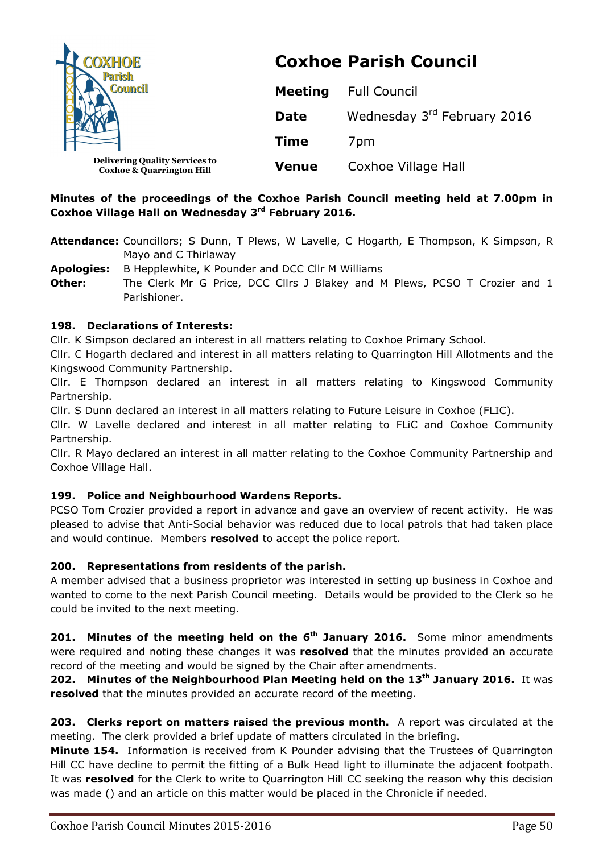| <b>COXHOE</b>                                                                 | <b>Coxhoe Parish Council</b> |                             |
|-------------------------------------------------------------------------------|------------------------------|-----------------------------|
| <b>Council</b>                                                                | <b>Meeting</b>               | <b>Full Council</b>         |
|                                                                               | <b>Date</b>                  | Wednesday 3rd February 2016 |
|                                                                               | <b>Time</b>                  | 7 <sub>pm</sub>             |
| <b>Delivering Quality Services to</b><br><b>Coxhoe &amp; Quarrington Hill</b> | <b>Venue</b>                 | Coxhoe Village Hall         |

# **Minutes of the proceedings of the Coxhoe Parish Council meeting held at 7.00pm in Coxhoe Village Hall on Wednesday 3rd February 2016.**

- **Attendance:** Councillors; S Dunn, T Plews, W Lavelle, C Hogarth, E Thompson, K Simpson, R Mayo and C Thirlaway
- **Apologies:** B Hepplewhite, K Pounder and DCC Cllr M Williams
- **Other:** The Clerk Mr G Price, DCC Cllrs J Blakey and M Plews, PCSO T Crozier and 1 Parishioner.

## **198. Declarations of Interests:**

Cllr. K Simpson declared an interest in all matters relating to Coxhoe Primary School.

Cllr. C Hogarth declared and interest in all matters relating to Quarrington Hill Allotments and the Kingswood Community Partnership.

Cllr. E Thompson declared an interest in all matters relating to Kingswood Community Partnership.

Cllr. S Dunn declared an interest in all matters relating to Future Leisure in Coxhoe (FLIC).

Cllr. W Lavelle declared and interest in all matter relating to FLiC and Coxhoe Community Partnership.

Cllr. R Mayo declared an interest in all matter relating to the Coxhoe Community Partnership and Coxhoe Village Hall.

# **199. Police and Neighbourhood Wardens Reports.**

PCSO Tom Crozier provided a report in advance and gave an overview of recent activity. He was pleased to advise that Anti-Social behavior was reduced due to local patrols that had taken place and would continue. Members **resolved** to accept the police report.

# **200. Representations from residents of the parish.**

A member advised that a business proprietor was interested in setting up business in Coxhoe and wanted to come to the next Parish Council meeting. Details would be provided to the Clerk so he could be invited to the next meeting.

**201. Minutes of the meeting held on the 6th January 2016.** Some minor amendments were required and noting these changes it was **resolved** that the minutes provided an accurate record of the meeting and would be signed by the Chair after amendments.

**202. Minutes of the Neighbourhood Plan Meeting held on the 13<sup>th</sup> January 2016. It was resolved** that the minutes provided an accurate record of the meeting.

**203. Clerks report on matters raised the previous month.** A report was circulated at the meeting. The clerk provided a brief update of matters circulated in the briefing.

**Minute 154.** Information is received from K Pounder advising that the Trustees of Quarrington Hill CC have decline to permit the fitting of a Bulk Head light to illuminate the adjacent footpath. It was **resolved** for the Clerk to write to Quarrington Hill CC seeking the reason why this decision was made () and an article on this matter would be placed in the Chronicle if needed.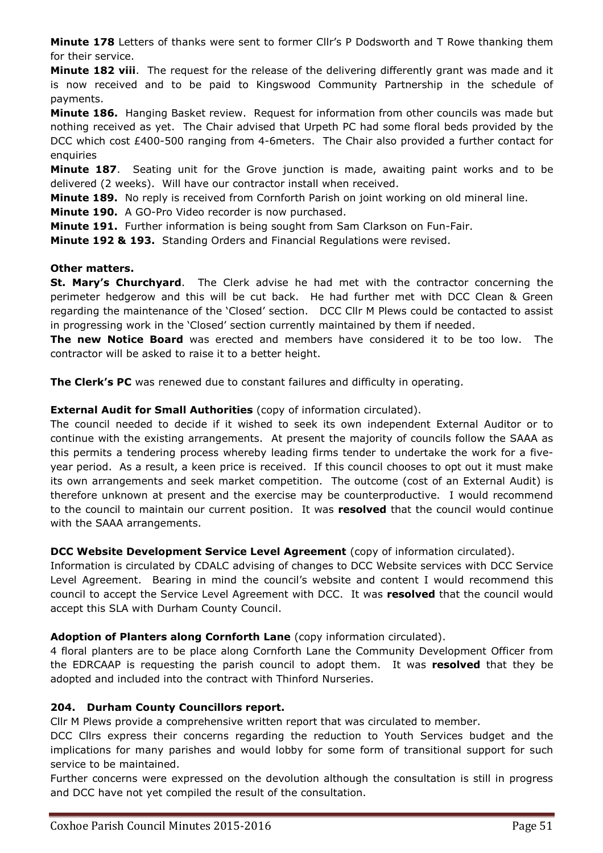**Minute 178** Letters of thanks were sent to former Cllr's P Dodsworth and T Rowe thanking them for their service.

**Minute 182 viii**. The request for the release of the delivering differently grant was made and it is now received and to be paid to Kingswood Community Partnership in the schedule of payments.

**Minute 186.** Hanging Basket review. Request for information from other councils was made but nothing received as yet. The Chair advised that Urpeth PC had some floral beds provided by the DCC which cost £400-500 ranging from 4-6meters. The Chair also provided a further contact for enquiries

**Minute 187**. Seating unit for the Grove junction is made, awaiting paint works and to be delivered (2 weeks). Will have our contractor install when received.

**Minute 189.** No reply is received from Cornforth Parish on joint working on old mineral line.

**Minute 190.** A GO-Pro Video recorder is now purchased.

**Minute 191.** Further information is being sought from Sam Clarkson on Fun-Fair.

**Minute 192 & 193.** Standing Orders and Financial Regulations were revised.

## **Other matters.**

**St. Mary's Churchyard**. The Clerk advise he had met with the contractor concerning the perimeter hedgerow and this will be cut back. He had further met with DCC Clean & Green regarding the maintenance of the 'Closed' section. DCC Cllr M Plews could be contacted to assist in progressing work in the 'Closed' section currently maintained by them if needed.

**The new Notice Board** was erected and members have considered it to be too low. The contractor will be asked to raise it to a better height.

**The Clerk's PC** was renewed due to constant failures and difficulty in operating.

## **External Audit for Small Authorities** (copy of information circulated).

The council needed to decide if it wished to seek its own independent External Auditor or to continue with the existing arrangements. At present the majority of councils follow the SAAA as this permits a tendering process whereby leading firms tender to undertake the work for a fiveyear period. As a result, a keen price is received. If this council chooses to opt out it must make its own arrangements and seek market competition. The outcome (cost of an External Audit) is therefore unknown at present and the exercise may be counterproductive. I would recommend to the council to maintain our current position. It was **resolved** that the council would continue with the SAAA arrangements.

#### **DCC Website Development Service Level Agreement** (copy of information circulated).

Information is circulated by CDALC advising of changes to DCC Website services with DCC Service Level Agreement. Bearing in mind the council's website and content I would recommend this council to accept the Service Level Agreement with DCC. It was **resolved** that the council would accept this SLA with Durham County Council.

#### **Adoption of Planters along Cornforth Lane** (copy information circulated).

4 floral planters are to be place along Cornforth Lane the Community Development Officer from the EDRCAAP is requesting the parish council to adopt them. It was **resolved** that they be adopted and included into the contract with Thinford Nurseries.

# **204. Durham County Councillors report.**

Cllr M Plews provide a comprehensive written report that was circulated to member.

DCC Cllrs express their concerns regarding the reduction to Youth Services budget and the implications for many parishes and would lobby for some form of transitional support for such service to be maintained.

Further concerns were expressed on the devolution although the consultation is still in progress and DCC have not yet compiled the result of the consultation.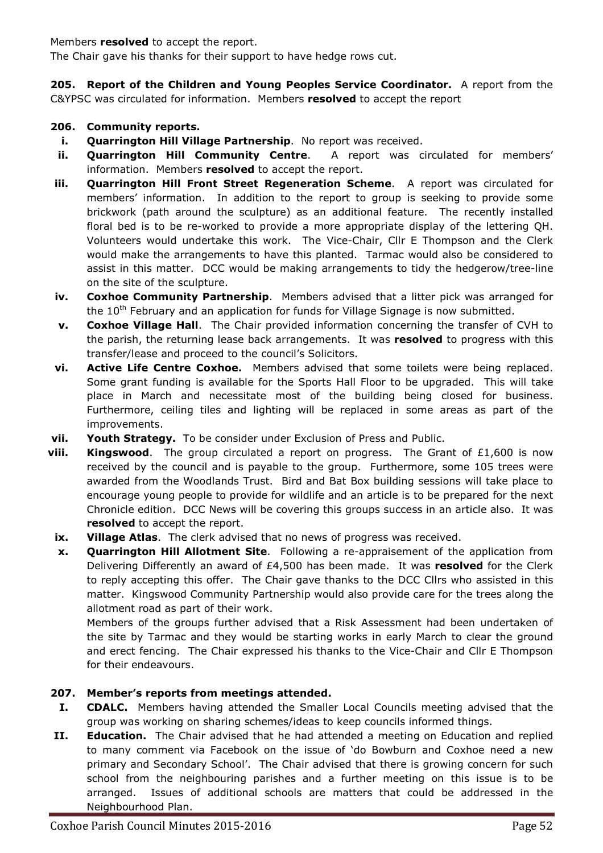#### Members **resolved** to accept the report.

The Chair gave his thanks for their support to have hedge rows cut.

**205. Report of the Children and Young Peoples Service Coordinator.** A report from the C&YPSC was circulated for information. Members **resolved** to accept the report

## **206. Community reports.**

- **i. Quarrington Hill Village Partnership**. No report was received.
- **ii. Quarrington Hill Community Centre**. A report was circulated for members' information. Members **resolved** to accept the report.
- **iii. Quarrington Hill Front Street Regeneration Scheme**. A report was circulated for members' information. In addition to the report to group is seeking to provide some brickwork (path around the sculpture) as an additional feature. The recently installed floral bed is to be re-worked to provide a more appropriate display of the lettering QH. Volunteers would undertake this work. The Vice-Chair, Cllr E Thompson and the Clerk would make the arrangements to have this planted. Tarmac would also be considered to assist in this matter. DCC would be making arrangements to tidy the hedgerow/tree-line on the site of the sculpture.
- **iv. Coxhoe Community Partnership**. Members advised that a litter pick was arranged for the  $10<sup>th</sup>$  February and an application for funds for Village Signage is now submitted.
- **v. Coxhoe Village Hall**. The Chair provided information concerning the transfer of CVH to the parish, the returning lease back arrangements. It was **resolved** to progress with this transfer/lease and proceed to the council's Solicitors.
- **vi. Active Life Centre Coxhoe.** Members advised that some toilets were being replaced. Some grant funding is available for the Sports Hall Floor to be upgraded. This will take place in March and necessitate most of the building being closed for business. Furthermore, ceiling tiles and lighting will be replaced in some areas as part of the improvements.
- **vii. Youth Strategy.** To be consider under Exclusion of Press and Public.
- **viii. Kingswood**. The group circulated a report on progress. The Grant of £1,600 is now received by the council and is payable to the group. Furthermore, some 105 trees were awarded from the Woodlands Trust. Bird and Bat Box building sessions will take place to encourage young people to provide for wildlife and an article is to be prepared for the next Chronicle edition. DCC News will be covering this groups success in an article also. It was **resolved** to accept the report.
- **ix. Village Atlas**. The clerk advised that no news of progress was received.
- **x. Quarrington Hill Allotment Site**. Following a re-appraisement of the application from Delivering Differently an award of £4,500 has been made. It was **resolved** for the Clerk to reply accepting this offer. The Chair gave thanks to the DCC Cllrs who assisted in this matter. Kingswood Community Partnership would also provide care for the trees along the allotment road as part of their work.

Members of the groups further advised that a Risk Assessment had been undertaken of the site by Tarmac and they would be starting works in early March to clear the ground and erect fencing. The Chair expressed his thanks to the Vice-Chair and Cllr E Thompson for their endeavours.

# **207. Member's reports from meetings attended.**

- **I. CDALC.** Members having attended the Smaller Local Councils meeting advised that the group was working on sharing schemes/ideas to keep councils informed things.
- **II. Education.** The Chair advised that he had attended a meeting on Education and replied to many comment via Facebook on the issue of 'do Bowburn and Coxhoe need a new primary and Secondary School'. The Chair advised that there is growing concern for such school from the neighbouring parishes and a further meeting on this issue is to be arranged. Issues of additional schools are matters that could be addressed in the Neighbourhood Plan.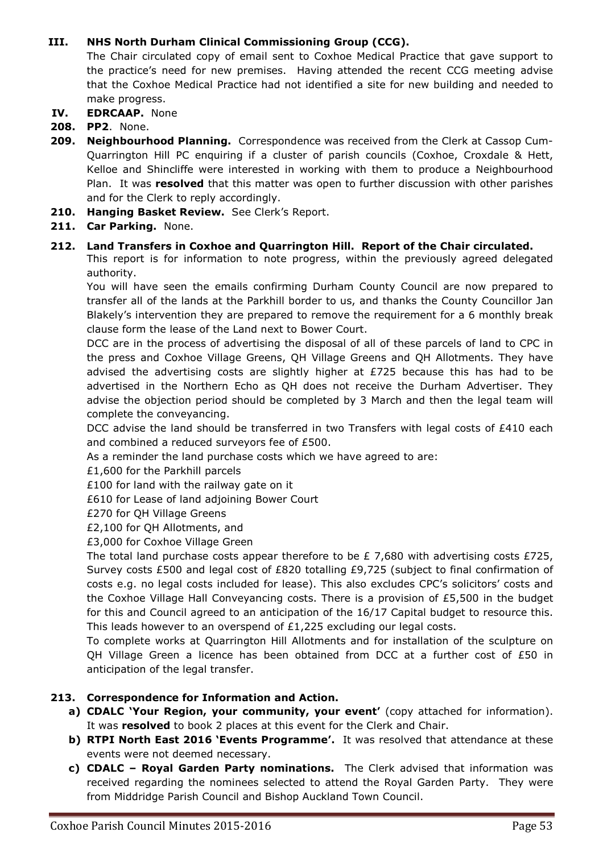# **III. NHS North Durham Clinical Commissioning Group (CCG).**

The Chair circulated copy of email sent to Coxhoe Medical Practice that gave support to the practice's need for new premises. Having attended the recent CCG meeting advise that the Coxhoe Medical Practice had not identified a site for new building and needed to make progress.

- **IV. EDRCAAP.** None
- **208. PP2**. None.
- **209. Neighbourhood Planning.** Correspondence was received from the Clerk at Cassop Cum-Quarrington Hill PC enquiring if a cluster of parish councils (Coxhoe, Croxdale & Hett, Kelloe and Shincliffe were interested in working with them to produce a Neighbourhood Plan. It was **resolved** that this matter was open to further discussion with other parishes and for the Clerk to reply accordingly.
- **210. Hanging Basket Review.** See Clerk's Report.
- **211. Car Parking.** None.

# **212. Land Transfers in Coxhoe and Quarrington Hill. Report of the Chair circulated.**

This report is for information to note progress, within the previously agreed delegated authority.

You will have seen the emails confirming Durham County Council are now prepared to transfer all of the lands at the Parkhill border to us, and thanks the County Councillor Jan Blakely's intervention they are prepared to remove the requirement for a 6 monthly break clause form the lease of the Land next to Bower Court.

DCC are in the process of advertising the disposal of all of these parcels of land to CPC in the press and Coxhoe Village Greens, QH Village Greens and QH Allotments. They have advised the advertising costs are slightly higher at  $E725$  because this has had to be advertised in the Northern Echo as QH does not receive the Durham Advertiser. They advise the objection period should be completed by 3 March and then the legal team will complete the conveyancing.

DCC advise the land should be transferred in two Transfers with legal costs of £410 each and combined a reduced surveyors fee of £500.

As a reminder the land purchase costs which we have agreed to are:

£1,600 for the Parkhill parcels

£100 for land with the railway gate on it

- £610 for Lease of land adjoining Bower Court
- £270 for QH Village Greens

£2,100 for QH Allotments, and

£3,000 for Coxhoe Village Green

The total land purchase costs appear therefore to be  $E$  7,680 with advertising costs £725, Survey costs £500 and legal cost of £820 totalling £9,725 (subject to final confirmation of costs e.g. no legal costs included for lease). This also excludes CPC's solicitors' costs and the Coxhoe Village Hall Conveyancing costs. There is a provision of  $£5,500$  in the budget for this and Council agreed to an anticipation of the 16/17 Capital budget to resource this. This leads however to an overspend of £1,225 excluding our legal costs.

To complete works at Quarrington Hill Allotments and for installation of the sculpture on QH Village Green a licence has been obtained from DCC at a further cost of  $£50$  in anticipation of the legal transfer.

#### **213. Correspondence for Information and Action.**

- **a) CDALC 'Your Region, your community, your event'** (copy attached for information). It was **resolved** to book 2 places at this event for the Clerk and Chair.
- **b) RTPI North East 2016 'Events Programme'.** It was resolved that attendance at these events were not deemed necessary.
- **c) CDALC Royal Garden Party nominations.** The Clerk advised that information was received regarding the nominees selected to attend the Royal Garden Party. They were from Middridge Parish Council and Bishop Auckland Town Council.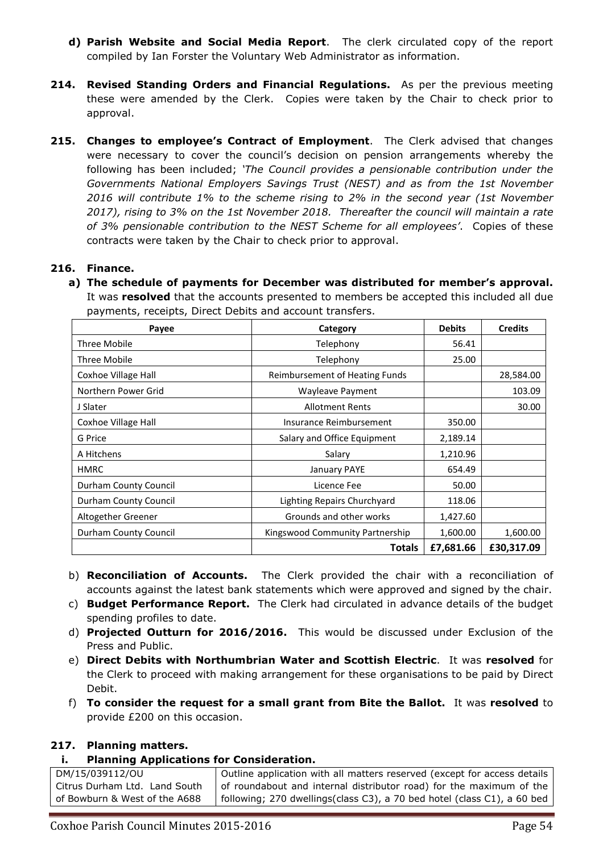- **d) Parish Website and Social Media Report**. The clerk circulated copy of the report compiled by Ian Forster the Voluntary Web Administrator as information.
- **214. Revised Standing Orders and Financial Regulations.** As per the previous meeting these were amended by the Clerk. Copies were taken by the Chair to check prior to approval.
- **215. Changes to employee's Contract of Employment**. The Clerk advised that changes were necessary to cover the council's decision on pension arrangements whereby the following has been included; *'The Council provides a pensionable contribution under the Governments National Employers Savings Trust (NEST) and as from the 1st November 2016 will contribute 1% to the scheme rising to 2% in the second year (1st November 2017), rising to 3% on the 1st November 2018. Thereafter the council will maintain a rate of 3% pensionable contribution to the NEST Scheme for all employees'*. Copies of these contracts were taken by the Chair to check prior to approval.

## **216. Finance.**

**a) The schedule of payments for December was distributed for member's approval.**  It was **resolved** that the accounts presented to members be accepted this included all due payments, receipts, Direct Debits and account transfers.

| Payee                 | Category                              | <b>Debits</b> | <b>Credits</b> |
|-----------------------|---------------------------------------|---------------|----------------|
| Three Mobile          | Telephony                             | 56.41         |                |
| Three Mobile          | Telephony                             | 25.00         |                |
| Coxhoe Village Hall   | <b>Reimbursement of Heating Funds</b> |               | 28,584.00      |
| Northern Power Grid   | Wayleave Payment                      |               | 103.09         |
| J Slater              | <b>Allotment Rents</b>                |               | 30.00          |
| Coxhoe Village Hall   | Insurance Reimbursement               | 350.00        |                |
| G Price               | Salary and Office Equipment           | 2,189.14      |                |
| A Hitchens            | Salary                                | 1,210.96      |                |
| <b>HMRC</b>           | January PAYE                          | 654.49        |                |
| Durham County Council | Licence Fee                           | 50.00         |                |
| Durham County Council | Lighting Repairs Churchyard           | 118.06        |                |
| Altogether Greener    | Grounds and other works               | 1,427.60      |                |
| Durham County Council | Kingswood Community Partnership       | 1,600.00      | 1,600.00       |
|                       | <b>Totals</b>                         | £7,681.66     | £30,317.09     |

- b) **Reconciliation of Accounts.** The Clerk provided the chair with a reconciliation of accounts against the latest bank statements which were approved and signed by the chair.
- c) **Budget Performance Report.** The Clerk had circulated in advance details of the budget spending profiles to date.
- d) **Projected Outturn for 2016/2016.** This would be discussed under Exclusion of the Press and Public.
- e) **Direct Debits with Northumbrian Water and Scottish Electric**. It was **resolved** for the Clerk to proceed with making arrangement for these organisations to be paid by Direct Debit.
- f) **To consider the request for a small grant from Bite the Ballot.** It was **resolved** to provide £200 on this occasion.

#### **217. Planning matters.**

#### **i. Planning Applications for Consideration.**

| DM/15/039112/OU               | Outline application with all matters reserved (except for access details |
|-------------------------------|--------------------------------------------------------------------------|
| Citrus Durham Ltd. Land South | of roundabout and internal distributor road) for the maximum of the      |
| of Bowburn & West of the A688 | following; 270 dwellings(class C3), a 70 bed hotel (class C1), a 60 bed  |